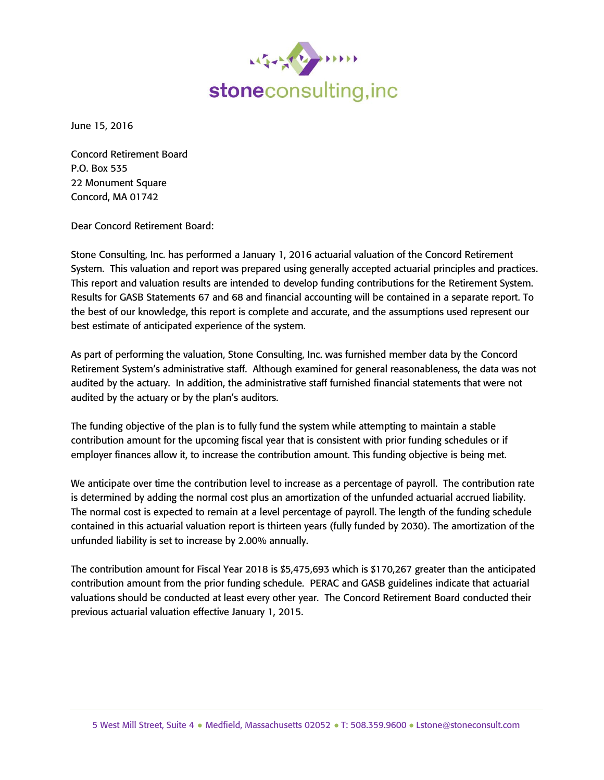

June 15, 2016

Concord Retirement Board P.O. Box 535 22 Monument Square Concord, MA 01742

Dear Concord Retirement Board:

Stone Consulting, Inc. has performed a January 1, 2016 actuarial valuation of the Concord Retirement System. This valuation and report was prepared using generally accepted actuarial principles and practices. This report and valuation results are intended to develop funding contributions for the Retirement System. Results for GASB Statements 67 and 68 and financial accounting will be contained in a separate report. To the best of our knowledge, this report is complete and accurate, and the assumptions used represent our best estimate of anticipated experience of the system.

As part of performing the valuation, Stone Consulting, Inc. was furnished member data by the Concord Retirement System's administrative staff. Although examined for general reasonableness, the data was not audited by the actuary. In addition, the administrative staff furnished financial statements that were not audited by the actuary or by the plan's auditors.

The funding objective of the plan is to fully fund the system while attempting to maintain a stable contribution amount for the upcoming fiscal year that is consistent with prior funding schedules or if employer finances allow it, to increase the contribution amount. This funding objective is being met.

We anticipate over time the contribution level to increase as a percentage of payroll. The contribution rate is determined by adding the normal cost plus an amortization of the unfunded actuarial accrued liability. The normal cost is expected to remain at a level percentage of payroll. The length of the funding schedule contained in this actuarial valuation report is thirteen years (fully funded by 2030). The amortization of the unfunded liability is set to increase by 2.00% annually.

The contribution amount for Fiscal Year 2018 is \$5,475,693 which is \$170,267 greater than the anticipated contribution amount from the prior funding schedule. PERAC and GASB guidelines indicate that actuarial valuations should be conducted at least every other year. The Concord Retirement Board conducted their previous actuarial valuation effective January 1, 2015.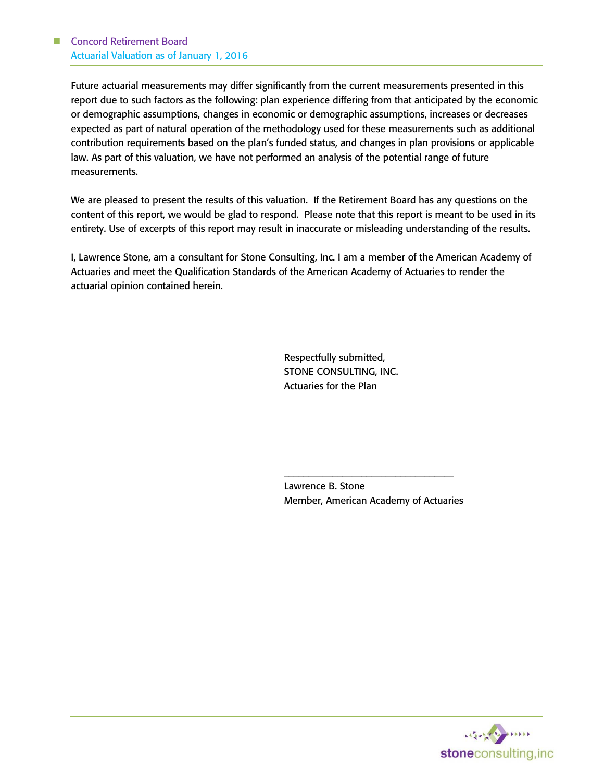Future actuarial measurements may differ significantly from the current measurements presented in this report due to such factors as the following: plan experience differing from that anticipated by the economic or demographic assumptions, changes in economic or demographic assumptions, increases or decreases expected as part of natural operation of the methodology used for these measurements such as additional contribution requirements based on the plan's funded status, and changes in plan provisions or applicable law. As part of this valuation, we have not performed an analysis of the potential range of future measurements.

We are pleased to present the results of this valuation. If the Retirement Board has any questions on the content of this report, we would be glad to respond. Please note that this report is meant to be used in its entirety. Use of excerpts of this report may result in inaccurate or misleading understanding of the results.

I, Lawrence Stone, am a consultant for Stone Consulting, Inc. I am a member of the American Academy of Actuaries and meet the Qualification Standards of the American Academy of Actuaries to render the actuarial opinion contained herein.

> Respectfully submitted, STONE CONSULTING, INC. Actuaries for the Plan

Lawrence B. Stone Member, American Academy of Actuaries

\_\_\_\_\_\_\_\_\_\_\_\_\_\_\_\_\_\_\_\_\_\_\_\_\_\_\_\_\_\_\_\_\_\_\_

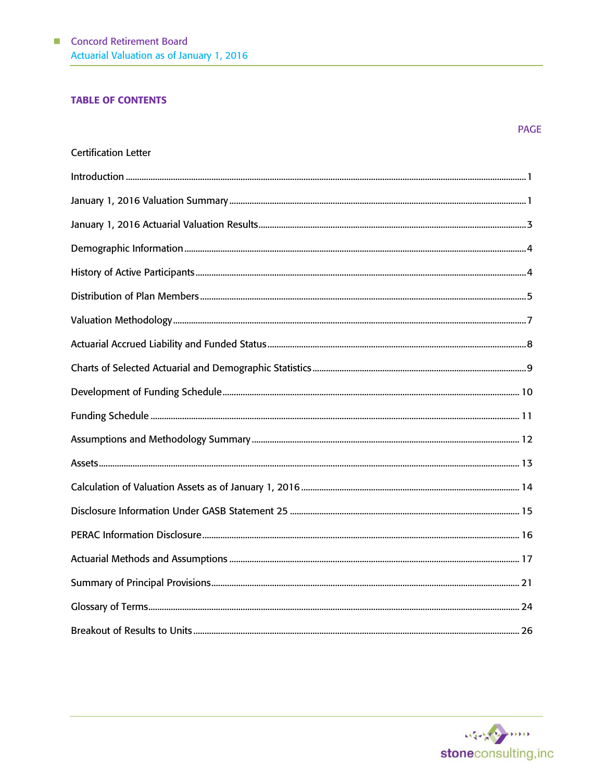## **TABLE OF CONTENTS**

|                             | <b>PAGE</b> |
|-----------------------------|-------------|
| <b>Certification Letter</b> |             |
|                             |             |
|                             |             |
|                             |             |
|                             |             |
|                             |             |
|                             |             |
|                             |             |
|                             |             |
|                             |             |
|                             |             |
|                             |             |
|                             |             |
|                             |             |
|                             |             |
|                             |             |
|                             |             |
|                             |             |
|                             |             |
|                             |             |
|                             |             |

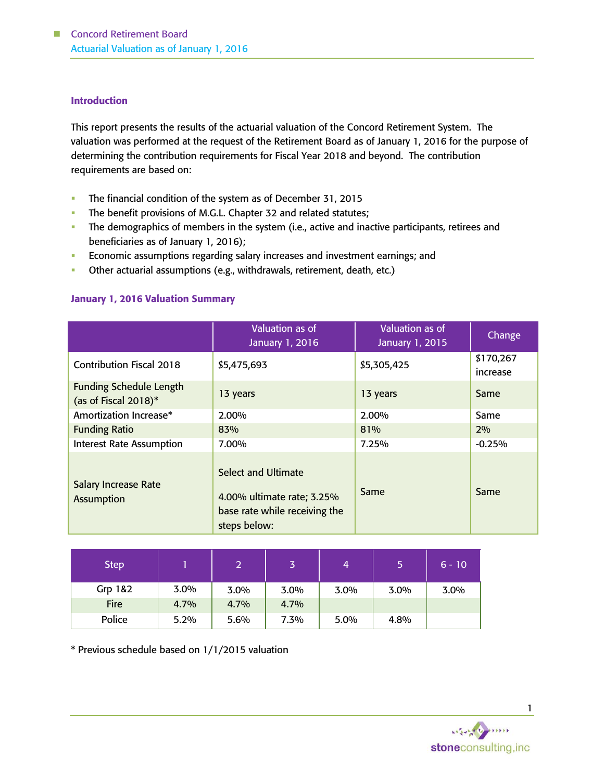#### **Introduction**

This report presents the results of the actuarial valuation of the Concord Retirement System. The valuation was performed at the request of the Retirement Board as of January 1, 2016 for the purpose of determining the contribution requirements for Fiscal Year 2018 and beyond. The contribution requirements are based on:

- The financial condition of the system as of December 31, 2015
- The benefit provisions of M.G.L. Chapter 32 and related statutes;
- The demographics of members in the system (i.e., active and inactive participants, retirees and beneficiaries as of January 1, 2016);
- **Economic assumptions regarding salary increases and investment earnings; and**
- **•** Other actuarial assumptions (e.g., withdrawals, retirement, death, etc.)

# January 1, 2016 Valuation Summary

|                                                           | Valuation as of<br>January 1, 2016                                                                        | Valuation as of<br>January 1, 2015 | Change                |
|-----------------------------------------------------------|-----------------------------------------------------------------------------------------------------------|------------------------------------|-----------------------|
| <b>Contribution Fiscal 2018</b>                           | \$5,475,693                                                                                               | \$5,305,425                        | \$170,267<br>increase |
| <b>Funding Schedule Length</b><br>(as of Fiscal $2018$ )* | 13 years                                                                                                  | 13 years                           | Same                  |
| Amortization Increase*                                    | 2.00%                                                                                                     | 2.00%                              | Same                  |
| <b>Funding Ratio</b>                                      | 83%                                                                                                       | 81%                                | 2%                    |
| <b>Interest Rate Assumption</b>                           | 7.00%                                                                                                     | 7.25%                              | $-0.25%$              |
| <b>Salary Increase Rate</b><br><b>Assumption</b>          | <b>Select and Ultimate</b><br>4.00% ultimate rate; 3.25%<br>base rate while receiving the<br>steps below: | Same                               | Same                  |

| <b>Step</b> |         |      |      | 4       | 5       | $6 - 10$ |
|-------------|---------|------|------|---------|---------|----------|
| Grp 1&2     | $3.0\%$ | 3.0% | 3.0% | $3.0\%$ | $3.0\%$ | $3.0\%$  |
| Fire        | 4.7%    | 4.7% | 4.7% |         |         |          |
| Police      | 5.2%    | 5.6% | 7.3% | 5.0%    | 4.8%    |          |

\* Previous schedule based on 1/1/2015 valuation

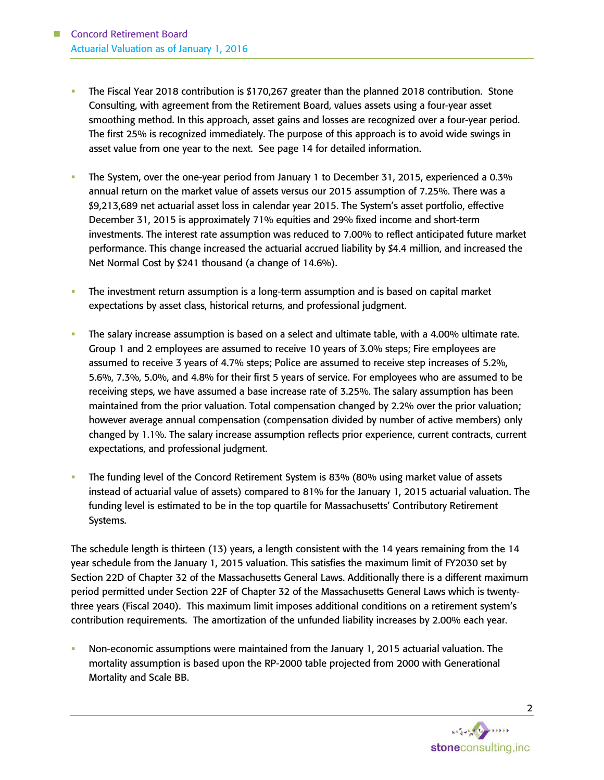- The Fiscal Year 2018 contribution is \$170,267 greater than the planned 2018 contribution. Stone Consulting, with agreement from the Retirement Board, values assets using a four-year asset smoothing method. In this approach, asset gains and losses are recognized over a four-year period. The first 25% is recognized immediately. The purpose of this approach is to avoid wide swings in asset value from one year to the next. See page 14 for detailed information.
- The System, over the one-year period from January 1 to December 31, 2015, experienced a 0.3% annual return on the market value of assets versus our 2015 assumption of 7.25%. There was a \$9,213,689 net actuarial asset loss in calendar year 2015. The System's asset portfolio, effective December 31, 2015 is approximately 71% equities and 29% fixed income and short-term investments. The interest rate assumption was reduced to 7.00% to reflect anticipated future market performance. This change increased the actuarial accrued liability by \$4.4 million, and increased the Net Normal Cost by \$241 thousand (a change of 14.6%).
- The investment return assumption is a long-term assumption and is based on capital market expectations by asset class, historical returns, and professional judgment.
- The salary increase assumption is based on a select and ultimate table, with a 4.00% ultimate rate. Group 1 and 2 employees are assumed to receive 10 years of 3.0% steps; Fire employees are assumed to receive 3 years of 4.7% steps; Police are assumed to receive step increases of 5.2%, 5.6%, 7.3%, 5.0%, and 4.8% for their first 5 years of service. For employees who are assumed to be receiving steps, we have assumed a base increase rate of 3.25%. The salary assumption has been maintained from the prior valuation. Total compensation changed by 2.2% over the prior valuation; however average annual compensation (compensation divided by number of active members) only changed by 1.1%. The salary increase assumption reflects prior experience, current contracts, current expectations, and professional judgment.
- The funding level of the Concord Retirement System is 83% (80% using market value of assets instead of actuarial value of assets) compared to 81% for the January 1, 2015 actuarial valuation. The funding level is estimated to be in the top quartile for Massachusetts' Contributory Retirement Systems.

The schedule length is thirteen (13) years, a length consistent with the 14 years remaining from the 14 year schedule from the January 1, 2015 valuation. This satisfies the maximum limit of FY2030 set by Section 22D of Chapter 32 of the Massachusetts General Laws. Additionally there is a different maximum period permitted under Section 22F of Chapter 32 of the Massachusetts General Laws which is twentythree years (Fiscal 2040). This maximum limit imposes additional conditions on a retirement system's contribution requirements. The amortization of the unfunded liability increases by 2.00% each year.

 Non-economic assumptions were maintained from the January 1, 2015 actuarial valuation. The mortality assumption is based upon the RP-2000 table projected from 2000 with Generational Mortality and Scale BB.

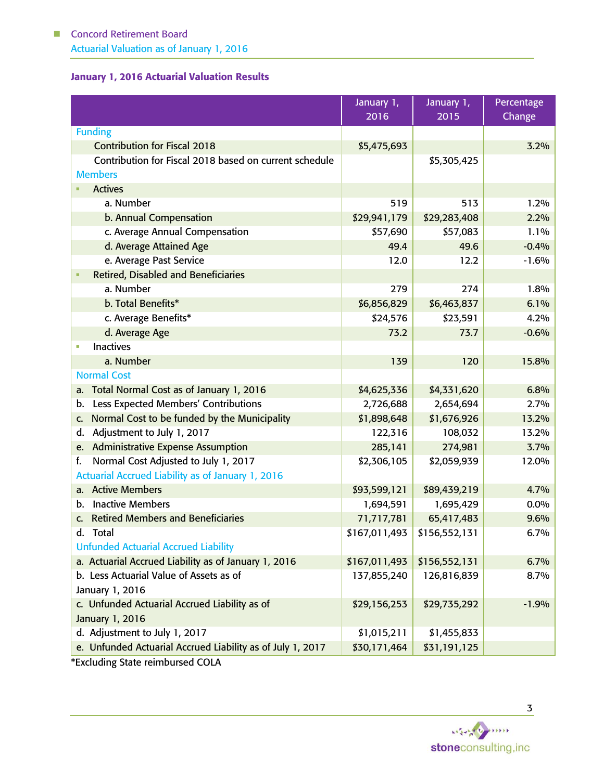# January 1, 2016 Actuarial Valuation Results

|                                                            | January 1,    | January 1,    | Percentage |
|------------------------------------------------------------|---------------|---------------|------------|
|                                                            | 2016          | 2015          | Change     |
| <b>Funding</b>                                             |               |               |            |
| <b>Contribution for Fiscal 2018</b>                        | \$5,475,693   |               | 3.2%       |
| Contribution for Fiscal 2018 based on current schedule     |               | \$5,305,425   |            |
| <b>Members</b>                                             |               |               |            |
| <b>Actives</b>                                             |               |               |            |
| a. Number                                                  | 519           | 513           | 1.2%       |
| b. Annual Compensation                                     | \$29,941,179  | \$29,283,408  | 2.2%       |
| c. Average Annual Compensation                             | \$57,690      | \$57,083      | 1.1%       |
| d. Average Attained Age                                    | 49.4          | 49.6          | $-0.4%$    |
| e. Average Past Service                                    | 12.0          | 12.2          | $-1.6%$    |
| <b>Retired, Disabled and Beneficiaries</b>                 |               |               |            |
| a. Number                                                  | 279           | 274           | 1.8%       |
| b. Total Benefits*                                         | \$6,856,829   | \$6,463,837   | 6.1%       |
| c. Average Benefits*                                       | \$24,576      | \$23,591      | 4.2%       |
| d. Average Age                                             | 73.2          | 73.7          | $-0.6%$    |
| <b>Inactives</b><br>Ľ,                                     |               |               |            |
| a. Number                                                  | 139           | 120           | 15.8%      |
| <b>Normal Cost</b>                                         |               |               |            |
| Total Normal Cost as of January 1, 2016<br>a.              | \$4,625,336   | \$4,331,620   | 6.8%       |
| Less Expected Members' Contributions<br>b.                 | 2,726,688     | 2,654,694     | 2.7%       |
| Normal Cost to be funded by the Municipality<br>C.         | \$1,898,648   | \$1,676,926   | 13.2%      |
| Adjustment to July 1, 2017<br>d.                           | 122,316       | 108,032       | 13.2%      |
| e. Administrative Expense Assumption                       | 285,141       | 274,981       | 3.7%       |
| Normal Cost Adjusted to July 1, 2017<br>f.                 | \$2,306,105   | \$2,059,939   | 12.0%      |
| Actuarial Accrued Liability as of January 1, 2016          |               |               |            |
| <b>Active Members</b><br>a.                                | \$93,599,121  | \$89,439,219  | 4.7%       |
| <b>Inactive Members</b><br>b.                              | 1,694,591     | 1,695,429     | 0.0%       |
| c. Retired Members and Beneficiaries                       | 71,717,781    | 65,417,483    | 9.6%       |
| d.<br><b>Total</b>                                         | \$167,011,493 | \$156,552,131 | 6.7%       |
| <b>Unfunded Actuarial Accrued Liability</b>                |               |               |            |
| a. Actuarial Accrued Liability as of January 1, 2016       | \$167,011,493 | \$156,552,131 | 6.7%       |
| b. Less Actuarial Value of Assets as of                    | 137,855,240   | 126,816,839   | 8.7%       |
| January 1, 2016                                            |               |               |            |
| c. Unfunded Actuarial Accrued Liability as of              | \$29,156,253  | \$29,735,292  | $-1.9%$    |
| January 1, 2016                                            |               |               |            |
| d. Adjustment to July 1, 2017                              | \$1,015,211   | \$1,455,833   |            |
| e. Unfunded Actuarial Accrued Liability as of July 1, 2017 | \$30,171,464  | \$31,191,125  |            |

\*Excluding State reimbursed COLA

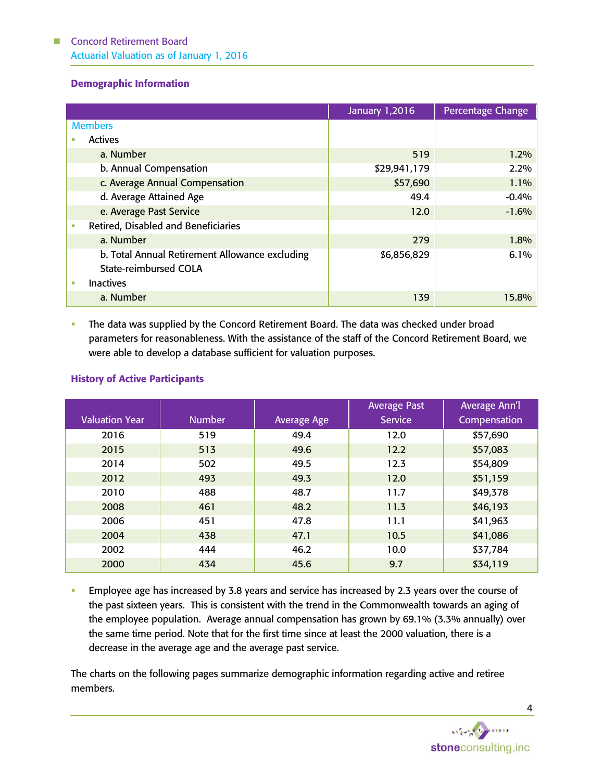# Demographic Information

|                                                | <b>January 1,2016</b> | <b>Percentage Change</b> |
|------------------------------------------------|-----------------------|--------------------------|
| <b>Members</b>                                 |                       |                          |
| <b>Actives</b>                                 |                       |                          |
| a. Number                                      | 519                   | 1.2%                     |
| b. Annual Compensation                         | \$29,941,179          | 2.2%                     |
| c. Average Annual Compensation                 | \$57,690              | 1.1%                     |
| d. Average Attained Age                        | 49.4                  | $-0.4%$                  |
| e. Average Past Service                        | 12.0                  | $-1.6%$                  |
| Retired, Disabled and Beneficiaries<br>×.      |                       |                          |
| a. Number                                      | 279                   | 1.8%                     |
| b. Total Annual Retirement Allowance excluding | \$6,856,829           | 6.1%                     |
| <b>State-reimbursed COLA</b>                   |                       |                          |
| <b>Inactives</b><br>u,                         |                       |                          |
| a. Number                                      | 139                   | 15.8%                    |

The data was supplied by the Concord Retirement Board. The data was checked under broad parameters for reasonableness. With the assistance of the staff of the Concord Retirement Board, we were able to develop a database sufficient for valuation purposes.

|                       |               |                    | <b>Average Past</b> | <b>Average Ann'l</b> |
|-----------------------|---------------|--------------------|---------------------|----------------------|
| <b>Valuation Year</b> | <b>Number</b> | <b>Average Age</b> | <b>Service</b>      | Compensation         |
| 2016                  | 519           | 49.4               | 12.0                | \$57,690             |
| 2015                  | 513           | 49.6               | 12.2                | \$57,083             |
| 2014                  | 502           | 49.5               | 12.3                | \$54,809             |
| 2012                  | 493           | 49.3               | 12.0                | \$51,159             |
| 2010                  | 488           | 48.7               | 11.7                | \$49,378             |
| 2008                  | 461           | 48.2               | 11.3                | \$46,193             |
| 2006                  | 451           | 47.8               | 11.1                | \$41,963             |
| 2004                  | 438           | 47.1               | 10.5                | \$41,086             |
| 2002                  | 444           | 46.2               | 10.0                | \$37,784             |
| 2000                  | 434           | 45.6               | 9.7                 | \$34,119             |

# History of Active Participants

 Employee age has increased by 3.8 years and service has increased by 2.3 years over the course of the past sixteen years. This is consistent with the trend in the Commonwealth towards an aging of the employee population. Average annual compensation has grown by 69.1% (3.3% annually) over the same time period. Note that for the first time since at least the 2000 valuation, there is a decrease in the average age and the average past service.

The charts on the following pages summarize demographic information regarding active and retiree members.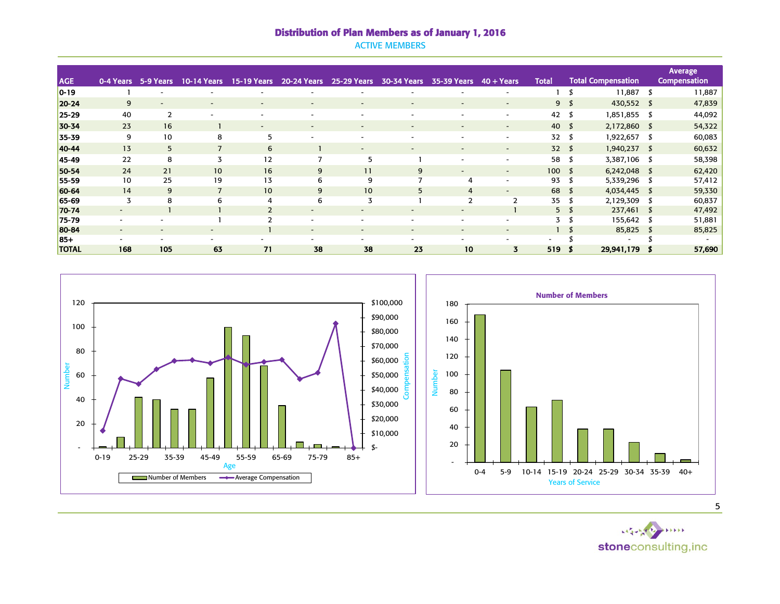# Distribution of Plan Members as of January 1, 2016

ACTIVE MEMBERS

|              |                          |                          |                          |                          |                          |                          |                          |                              |                          |                 |                |                           |    | Average             |
|--------------|--------------------------|--------------------------|--------------------------|--------------------------|--------------------------|--------------------------|--------------------------|------------------------------|--------------------------|-----------------|----------------|---------------------------|----|---------------------|
| <b>AGE</b>   | 0-4 Years                | 5-9 Years                | <b>10-14 Years</b>       | <b>15-19 Years</b>       | 20-24 Years              | <b>25-29 Years</b>       | 30-34 Years              | 35-39 Years                  | $40 + Years$             | <b>Total</b>    |                | <b>Total Compensation</b> |    | <b>Compensation</b> |
| $0 - 19$     |                          |                          |                          |                          |                          |                          |                          |                              | $\overline{\phantom{a}}$ |                 |                | $11,887$ \$               |    | 11,887              |
| 20-24        | 9                        | $\overline{\phantom{0}}$ | $\overline{\phantom{a}}$ | $\overline{\phantom{a}}$ |                          | $\overline{\phantom{a}}$ | $\overline{\phantom{a}}$ |                              | $\overline{\phantom{a}}$ |                 | 9 <sup>5</sup> | 430,552 \$                |    | 47,839              |
| $25 - 29$    | 40                       | $\overline{2}$           | ٠                        | $\overline{\phantom{a}}$ | $\overline{\phantom{a}}$ | $\overline{\phantom{a}}$ | $\overline{\phantom{a}}$ | -                            | $\overline{\phantom{a}}$ | 42              |                | 1,851,855 \$              |    | 44,092              |
| 30-34        | 23                       | 16                       |                          | -                        |                          | $\qquad \qquad$          |                          | $\overline{\phantom{0}}$     | $\overline{\phantom{a}}$ | 40              |                | 2,172,860 \$              |    | 54,322              |
| 35-39        | 9                        | 10                       | 8                        | 5                        |                          |                          |                          |                              |                          | 32              |                | 1,922,657 \$              |    | 60,083              |
| 40-44        | 13                       | 5 <sup>5</sup>           | $\overline{7}$           | 6                        |                          | $\overline{\phantom{a}}$ | $\sim$                   | $\overline{\phantom{a}}$     | $\sim$                   | 32 <sup>5</sup> |                | 1,940,237 \$              |    | 60,632              |
| 45-49        | 22                       | 8                        | 3                        | 12                       | $\overline{7}$           | 5                        |                          |                              | ۰.                       | 58              | \$             | 3,387,106 \$              |    | 58,398              |
| 50-54        | 24                       | 21                       | 10 <sup>°</sup>          | 16                       | 9                        | 11                       | 9                        | $\qquad \qquad \blacksquare$ | $\sim$                   | $100*$          |                | $6,242,048$ \$            |    | 62,420              |
| 55-59        | 10                       | 25                       | 19                       | 13                       | 6                        | 9                        |                          | 4                            | $\overline{\phantom{a}}$ | 93              |                | 5,339,296                 | -5 | 57,412              |
| 60-64        | 14                       | 9                        | $\overline{7}$           | 10                       | 9                        | 10 <sup>°</sup>          | 5                        | $\overline{4}$               | $\overline{\phantom{0}}$ | 68              |                | 4,034,445 \$              |    | 59,330              |
| 65-69        | 3                        | 8                        | 6                        | 4                        | 6                        | 3                        |                          | $\overline{2}$               | 2                        | 35              | -8             | 2,129,309                 |    | 60,837              |
| 70-74        | $\sim$                   |                          |                          | $\overline{2}$           |                          | $\overline{\phantom{0}}$ |                          |                              |                          |                 | 5 <sub>5</sub> | 237,461 \$                |    | 47,492              |
| 75-79        | $\sim$                   |                          |                          | C                        |                          |                          |                          |                              |                          | 3               |                | 155,642 \$                |    | 51,881              |
| 80-84        | $\sim$                   |                          | $\overline{\phantom{a}}$ |                          | $\overline{\phantom{a}}$ | $\overline{\phantom{a}}$ | ۰                        | $\overline{\phantom{0}}$     | $\overline{\phantom{a}}$ |                 |                | 85,825 \$                 |    | 85,825              |
| $85+$        | $\overline{\phantom{a}}$ |                          |                          |                          |                          | $\overline{\phantom{a}}$ | ۰                        |                              |                          |                 |                | $\overline{\phantom{a}}$  |    |                     |
| <b>TOTAL</b> | 168                      | 105                      | 63                       | 71                       | 38                       | 38                       | 23                       | 10                           | 3                        | 519             |                | 29,941,179                |    | 57,690              |

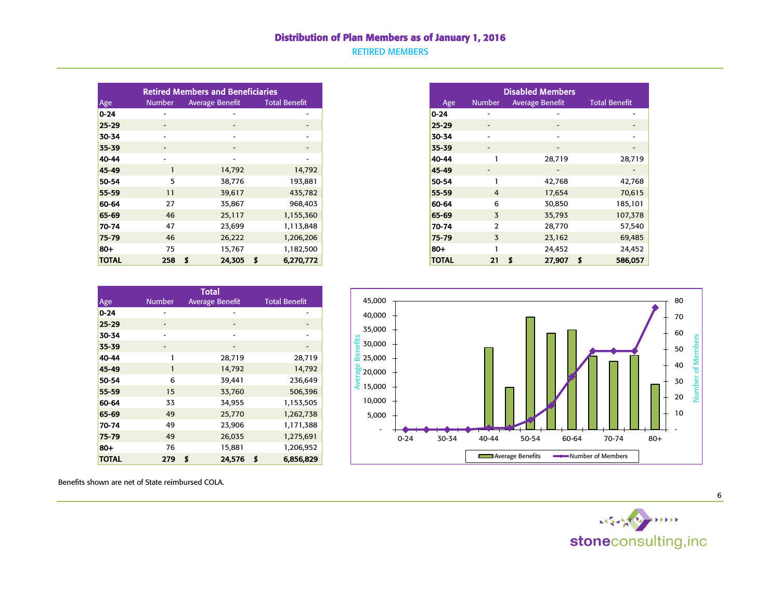#### Distribution of Plan Members as of January 1, 2016

RETIRED MEMBERS

|              |                          | <b>Retired Members and Beneficiaries</b> |                          |
|--------------|--------------------------|------------------------------------------|--------------------------|
| Age          | <b>Number</b>            | <b>Average Benefit</b>                   | <b>Total Benefit</b>     |
| $0 - 24$     | $\overline{\phantom{a}}$ |                                          | $\overline{\phantom{a}}$ |
| $25 - 29$    | $\sim$                   | $\sim$                                   | $\sim$                   |
| 30-34        | $\overline{\phantom{a}}$ |                                          | $\overline{\phantom{a}}$ |
| 35-39        | $\sim$                   | $\sim$                                   | $\overline{\phantom{0}}$ |
| 40-44        | $\overline{\phantom{a}}$ | $\sim$                                   | $\overline{\phantom{a}}$ |
| 45-49        |                          | 14,792                                   | 14,792                   |
| 50-54        | 5                        | 38,776                                   | 193,881                  |
| 55-59        | 11                       | 39,617                                   | 435,782                  |
| 60-64        | 27                       | 35,867                                   | 968,403                  |
| 65-69        | 46                       | 25,117                                   | 1,155,360                |
| 70-74        | 47                       | 23,699                                   | 1,113,848                |
| 75-79        | 46                       | 26,222                                   | 1,206,206                |
| $80+$        | 75                       | 15,767                                   | 1,182,500                |
| <b>TOTAL</b> | 258                      | 24,305<br>S                              | 6,270,772<br>- S         |

| <b>Disabled Members</b> |               |                        |                      |  |  |  |  |  |  |  |
|-------------------------|---------------|------------------------|----------------------|--|--|--|--|--|--|--|
| Age                     | <b>Number</b> | <b>Average Benefit</b> | <b>Total Benefit</b> |  |  |  |  |  |  |  |
| $0 - 24$                |               |                        |                      |  |  |  |  |  |  |  |
| $25 - 29$               |               |                        |                      |  |  |  |  |  |  |  |
| 30-34                   |               |                        |                      |  |  |  |  |  |  |  |
| 35-39                   |               |                        |                      |  |  |  |  |  |  |  |
| 40-44                   | 1             | 28,719                 | 28,719               |  |  |  |  |  |  |  |
| 45-49                   |               |                        |                      |  |  |  |  |  |  |  |
| 50-54                   | 1             | 42,768                 | 42,768               |  |  |  |  |  |  |  |
| 55-59                   | 4             | 17,654                 | 70,615               |  |  |  |  |  |  |  |
| 60-64                   | 6             | 30,850                 | 185,101              |  |  |  |  |  |  |  |
| 65-69                   | 3             | 35,793                 | 107,378              |  |  |  |  |  |  |  |
| 70-74                   | $\mathcal{P}$ | 28,770                 | 57,540               |  |  |  |  |  |  |  |
| 75-79                   | 3             | 23,162                 | 69,485               |  |  |  |  |  |  |  |
| 80+                     |               | 24,452                 | 24,452               |  |  |  |  |  |  |  |
| <b>TOTAL</b>            | 21            | 27,907<br>S            | Ś<br>586,057         |  |  |  |  |  |  |  |

| Total        |               |                        |        |    |                      |  |  |  |  |
|--------------|---------------|------------------------|--------|----|----------------------|--|--|--|--|
| Age          | <b>Number</b> | <b>Average Benefit</b> |        |    | <b>Total Benefit</b> |  |  |  |  |
| $0 - 24$     |               |                        |        |    |                      |  |  |  |  |
| $25 - 29$    |               |                        |        |    |                      |  |  |  |  |
| 30-34        |               |                        |        |    |                      |  |  |  |  |
| 35-39        | -             |                        |        |    |                      |  |  |  |  |
| 40-44        | 1             |                        | 28,719 |    | 28,719               |  |  |  |  |
| 45-49        | 1             |                        | 14,792 |    | 14,792               |  |  |  |  |
| 50-54        | 6             |                        | 39,441 |    | 236,649              |  |  |  |  |
| 55-59        | 15            |                        | 33,760 |    | 506,396              |  |  |  |  |
| 60-64        | 33            |                        | 34,955 |    | 1,153,505            |  |  |  |  |
| 65-69        | 49            |                        | 25,770 |    | 1,262,738            |  |  |  |  |
| 70-74        | 49            |                        | 23,906 |    | 1,171,388            |  |  |  |  |
| 75-79        | 49            |                        | 26,035 |    | 1,275,691            |  |  |  |  |
| 80+          | 76            |                        | 15,881 |    | 1,206,952            |  |  |  |  |
| <b>TOTAL</b> | 279           | \$                     | 24,576 | \$ | 6,856,829            |  |  |  |  |



Benefits shown are net of State reimbursed COLA.



6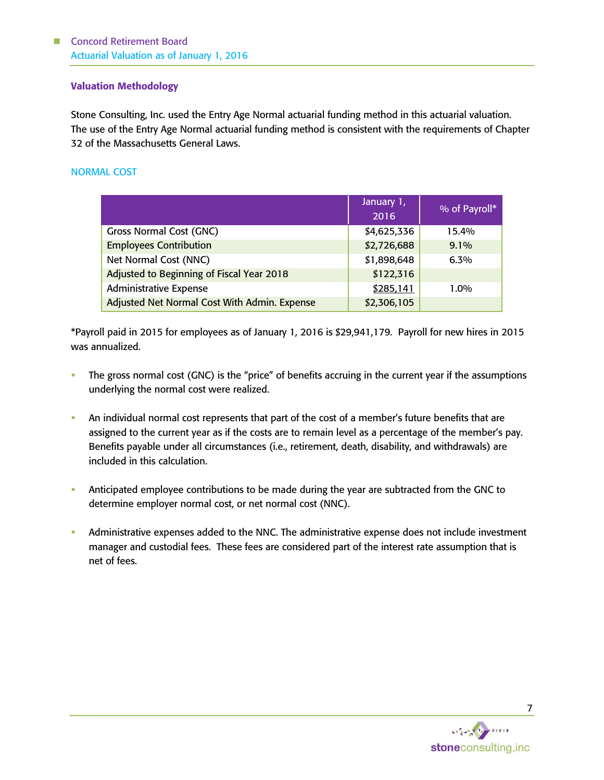#### Valuation Methodology

Stone Consulting, Inc. used the Entry Age Normal actuarial funding method in this actuarial valuation. The use of the Entry Age Normal actuarial funding method is consistent with the requirements of Chapter 32 of the Massachusetts General Laws.

#### NORMAL COST

|                                              | January 1,<br>2016 | % of Payroll* |
|----------------------------------------------|--------------------|---------------|
| <b>Gross Normal Cost (GNC)</b>               | \$4,625,336        | 15.4%         |
| <b>Employees Contribution</b>                | \$2,726,688        | $9.1\%$       |
| Net Normal Cost (NNC)                        | \$1,898,648        | 6.3%          |
| Adjusted to Beginning of Fiscal Year 2018    | \$122,316          |               |
| <b>Administrative Expense</b>                | \$285,141          | $1.0\%$       |
| Adjusted Net Normal Cost With Admin. Expense | \$2,306,105        |               |

\*Payroll paid in 2015 for employees as of January 1, 2016 is \$29,941,179. Payroll for new hires in 2015 was annualized.

- The gross normal cost (GNC) is the "price" of benefits accruing in the current year if the assumptions underlying the normal cost were realized.
- An individual normal cost represents that part of the cost of a member's future benefits that are assigned to the current year as if the costs are to remain level as a percentage of the member's pay. Benefits payable under all circumstances (i.e., retirement, death, disability, and withdrawals) are included in this calculation.
- Anticipated employee contributions to be made during the year are subtracted from the GNC to determine employer normal cost, or net normal cost (NNC).
- Administrative expenses added to the NNC. The administrative expense does not include investment manager and custodial fees. These fees are considered part of the interest rate assumption that is net of fees.

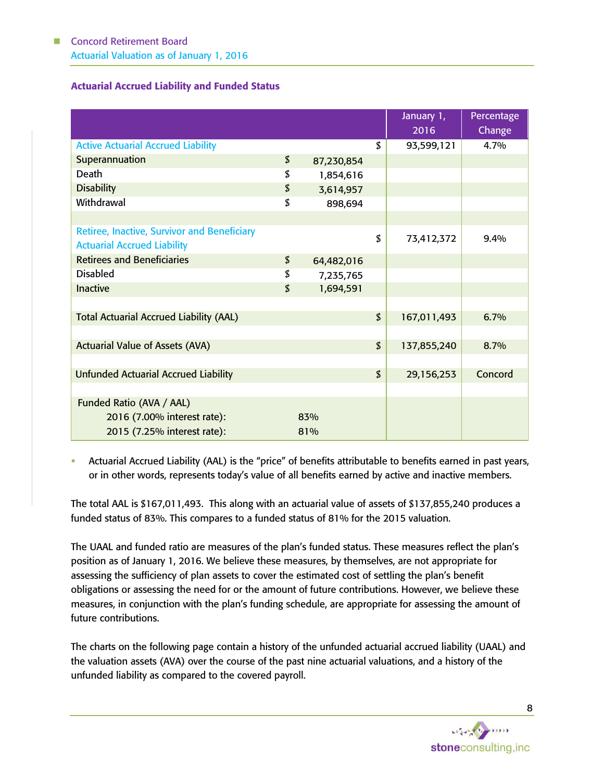# Actuarial Accrued Liability and Funded Status

|                                                    |                  |                            | January 1,<br>2016 | Percentage<br>Change |
|----------------------------------------------------|------------------|----------------------------|--------------------|----------------------|
| <b>Active Actuarial Accrued Liability</b>          |                  | \$                         | 93,599,121         | 4.7%                 |
| Superannuation                                     | \$<br>87,230,854 |                            |                    |                      |
| <b>Death</b>                                       | \$<br>1,854,616  |                            |                    |                      |
| <b>Disability</b>                                  | \$<br>3,614,957  |                            |                    |                      |
| Withdrawal                                         | \$<br>898,694    |                            |                    |                      |
|                                                    |                  |                            |                    |                      |
| <b>Retiree, Inactive, Survivor and Beneficiary</b> |                  | \$                         | 73,412,372         | $9.4\%$              |
| <b>Actuarial Accrued Liability</b>                 |                  |                            |                    |                      |
| <b>Retirees and Beneficiaries</b>                  | \$<br>64,482,016 |                            |                    |                      |
| <b>Disabled</b>                                    | \$<br>7,235,765  |                            |                    |                      |
| <b>Inactive</b>                                    | \$<br>1,694,591  |                            |                    |                      |
|                                                    |                  |                            |                    |                      |
| <b>Total Actuarial Accrued Liability (AAL)</b>     |                  | $\boldsymbol{\mathcal{L}}$ | 167,011,493        | 6.7%                 |
|                                                    |                  |                            |                    |                      |
| <b>Actuarial Value of Assets (AVA)</b>             |                  | \$                         | 137,855,240        | 8.7%                 |
|                                                    |                  |                            |                    |                      |
| <b>Unfunded Actuarial Accrued Liability</b>        |                  | $\boldsymbol{\mathcal{L}}$ | 29,156,253         | Concord              |
|                                                    |                  |                            |                    |                      |
| Funded Ratio (AVA / AAL)                           |                  |                            |                    |                      |
| 2016 (7.00% interest rate):                        | 83%              |                            |                    |                      |
| 2015 (7.25% interest rate):                        | 81%              |                            |                    |                      |

 Actuarial Accrued Liability (AAL) is the "price" of benefits attributable to benefits earned in past years, or in other words, represents today's value of all benefits earned by active and inactive members.

The total AAL is \$167,011,493. This along with an actuarial value of assets of \$137,855,240 produces a funded status of 83%. This compares to a funded status of 81% for the 2015 valuation.

The UAAL and funded ratio are measures of the plan's funded status. These measures reflect the plan's position as of January 1, 2016. We believe these measures, by themselves, are not appropriate for assessing the sufficiency of plan assets to cover the estimated cost of settling the plan's benefit obligations or assessing the need for or the amount of future contributions. However, we believe these measures, in conjunction with the plan's funding schedule, are appropriate for assessing the amount of future contributions.

The charts on the following page contain a history of the unfunded actuarial accrued liability (UAAL) and the valuation assets (AVA) over the course of the past nine actuarial valuations, and a history of the unfunded liability as compared to the covered payroll.

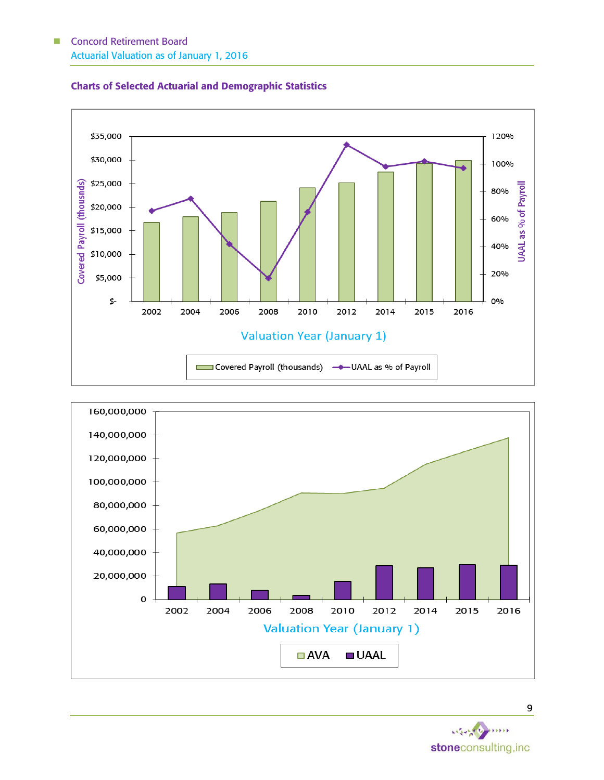





 $45$ stoneconsulting, inc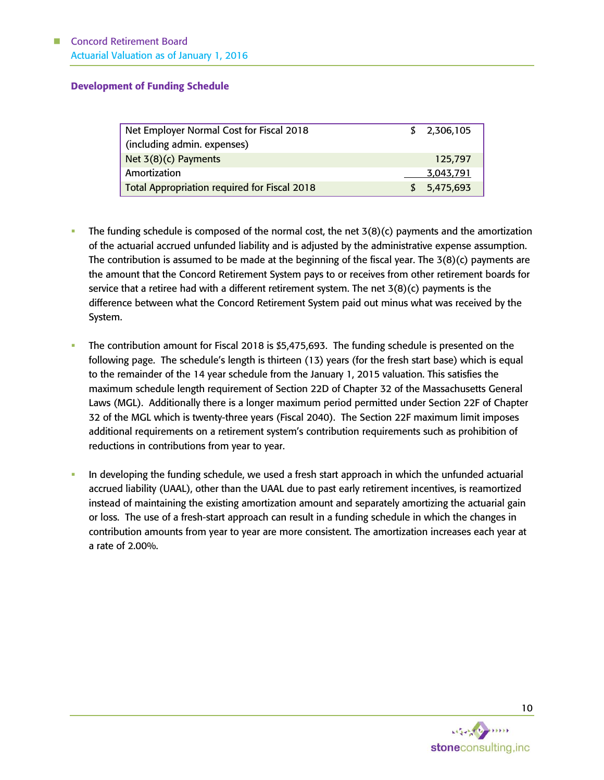#### Development of Funding Schedule

| Net Employer Normal Cost for Fiscal 2018            | \$2,306,105 |
|-----------------------------------------------------|-------------|
|                                                     |             |
| (including admin. expenses)                         |             |
|                                                     |             |
| Net $3(8)(c)$ Payments                              | 125,797     |
|                                                     |             |
| Amortization                                        | 3,043,791   |
|                                                     |             |
| <b>Total Appropriation required for Fiscal 2018</b> | \$5,475,693 |
|                                                     |             |

- The funding schedule is composed of the normal cost, the net  $3(8)(c)$  payments and the amortization of the actuarial accrued unfunded liability and is adjusted by the administrative expense assumption. The contribution is assumed to be made at the beginning of the fiscal year. The 3(8)(c) payments are the amount that the Concord Retirement System pays to or receives from other retirement boards for service that a retiree had with a different retirement system. The net  $3(8)(c)$  payments is the difference between what the Concord Retirement System paid out minus what was received by the System.
- The contribution amount for Fiscal 2018 is \$5,475,693. The funding schedule is presented on the following page. The schedule's length is thirteen (13) years (for the fresh start base) which is equal to the remainder of the 14 year schedule from the January 1, 2015 valuation. This satisfies the maximum schedule length requirement of Section 22D of Chapter 32 of the Massachusetts General Laws (MGL). Additionally there is a longer maximum period permitted under Section 22F of Chapter 32 of the MGL which is twenty-three years (Fiscal 2040). The Section 22F maximum limit imposes additional requirements on a retirement system's contribution requirements such as prohibition of reductions in contributions from year to year.
- In developing the funding schedule, we used a fresh start approach in which the unfunded actuarial accrued liability (UAAL), other than the UAAL due to past early retirement incentives, is reamortized instead of maintaining the existing amortization amount and separately amortizing the actuarial gain or loss. The use of a fresh-start approach can result in a funding schedule in which the changes in contribution amounts from year to year are more consistent. The amortization increases each year at a rate of 2.00%.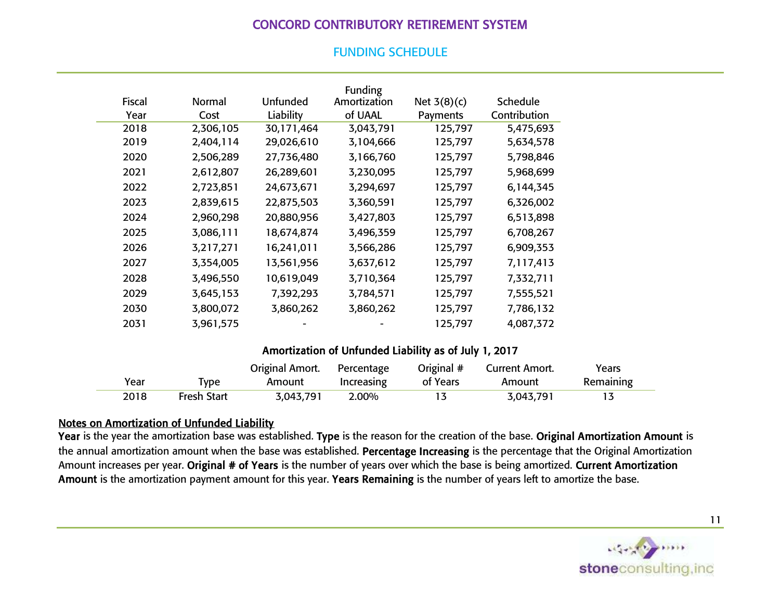# CONCORD CONTRIBUTORY RETIREMENT SYSTEM

|               |           |                 | Funding      |               |                 |
|---------------|-----------|-----------------|--------------|---------------|-----------------|
| <b>Fiscal</b> | Normal    | <b>Unfunded</b> | Amortization | Net $3(8)(c)$ | <b>Schedule</b> |
| Year          | Cost      | Liability       | of UAAL      | Payments      | Contribution    |
| 2018          | 2,306,105 | 30,171,464      | 3,043,791    | 125,797       | 5,475,693       |
| 2019          | 2,404,114 | 29,026,610      | 3,104,666    | 125,797       | 5,634,578       |
| 2020          | 2,506,289 | 27,736,480      | 3,166,760    | 125,797       | 5,798,846       |
| 2021          | 2,612,807 | 26,289,601      | 3,230,095    | 125,797       | 5,968,699       |
| 2022          | 2,723,851 | 24,673,671      | 3,294,697    | 125,797       | 6,144,345       |
| 2023          | 2,839,615 | 22,875,503      | 3,360,591    | 125,797       | 6,326,002       |
| 2024          | 2,960,298 | 20,880,956      | 3,427,803    | 125,797       | 6,513,898       |
| 2025          | 3,086,111 | 18,674,874      | 3,496,359    | 125,797       | 6,708,267       |
| 2026          | 3,217,271 | 16,241,011      | 3,566,286    | 125,797       | 6,909,353       |
| 2027          | 3,354,005 | 13,561,956      | 3,637,612    | 125,797       | 7,117,413       |
| 2028          | 3,496,550 | 10,619,049      | 3,710,364    | 125,797       | 7,332,711       |
| 2029          | 3,645,153 | 7,392,293       | 3,784,571    | 125,797       | 7,555,521       |
| 2030          | 3,800,072 | 3,860,262       | 3,860,262    | 125,797       | 7,786,132       |
| 2031          | 3,961,575 | -               |              | 125,797       | 4,087,372       |

# FUNDING SCHEDULE

# Amortization of Unfunded Liability as of July 1, 2017

|      |                    | Original Amort. | Percentage | Original # | Current Amort. | Years     |
|------|--------------------|-----------------|------------|------------|----------------|-----------|
| Year | <b>v</b> pe        | Amount          | Increasing | of Years   | Amount         | Remaining |
| 2018 | <b>Fresh Start</b> | 3,043,791       | 2.00%      |            | 3,043,791      |           |

# Notes on Amortization of Unfunded Liability

Year is the year the amortization base was established. Type is the reason for the creation of the base. Original Amortization Amount is the annual amortization amount when the base was established. Percentage Increasing is the percentage that the Original Amortization Amount increases per year. Original # of Years is the number of years over which the base is being amortized. Current Amortization Amount is the amortization payment amount for this year. Years Remaining is the number of years left to amortize the base.

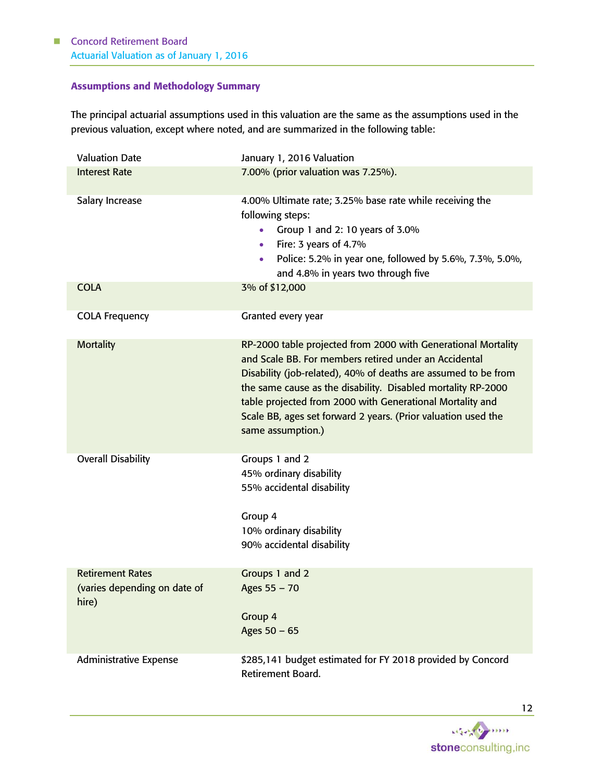# Assumptions and Methodology Summary

The principal actuarial assumptions used in this valuation are the same as the assumptions used in the previous valuation, except where noted, and are summarized in the following table:

| <b>Valuation Date</b>                                            | January 1, 2016 Valuation                                                                                                                                                                                                                                                                                                                                                                                   |  |  |  |  |
|------------------------------------------------------------------|-------------------------------------------------------------------------------------------------------------------------------------------------------------------------------------------------------------------------------------------------------------------------------------------------------------------------------------------------------------------------------------------------------------|--|--|--|--|
| <b>Interest Rate</b>                                             | 7.00% (prior valuation was 7.25%).                                                                                                                                                                                                                                                                                                                                                                          |  |  |  |  |
| Salary Increase                                                  | 4.00% Ultimate rate; 3.25% base rate while receiving the<br>following steps:<br>Group 1 and 2: 10 years of 3.0%<br>$\bullet$<br>Fire: 3 years of 4.7%<br>٠<br>Police: 5.2% in year one, followed by 5.6%, 7.3%, 5.0%,<br>$\bullet$<br>and 4.8% in years two through five                                                                                                                                    |  |  |  |  |
| <b>COLA</b>                                                      | 3% of \$12,000                                                                                                                                                                                                                                                                                                                                                                                              |  |  |  |  |
| <b>COLA Frequency</b>                                            | Granted every year                                                                                                                                                                                                                                                                                                                                                                                          |  |  |  |  |
| <b>Mortality</b>                                                 | RP-2000 table projected from 2000 with Generational Mortality<br>and Scale BB. For members retired under an Accidental<br>Disability (job-related), 40% of deaths are assumed to be from<br>the same cause as the disability. Disabled mortality RP-2000<br>table projected from 2000 with Generational Mortality and<br>Scale BB, ages set forward 2 years. (Prior valuation used the<br>same assumption.) |  |  |  |  |
| <b>Overall Disability</b>                                        | Groups 1 and 2<br>45% ordinary disability<br>55% accidental disability<br>Group 4<br>10% ordinary disability<br>90% accidental disability                                                                                                                                                                                                                                                                   |  |  |  |  |
| <b>Retirement Rates</b><br>(varies depending on date of<br>hire) | Groups 1 and 2<br>Ages 55 - 70<br>Group 4<br>Ages $50 - 65$                                                                                                                                                                                                                                                                                                                                                 |  |  |  |  |
| <b>Administrative Expense</b>                                    | \$285,141 budget estimated for FY 2018 provided by Concord<br>Retirement Board.                                                                                                                                                                                                                                                                                                                             |  |  |  |  |

いなつき  $\frac{1}{2}$ stoneconsulting, inc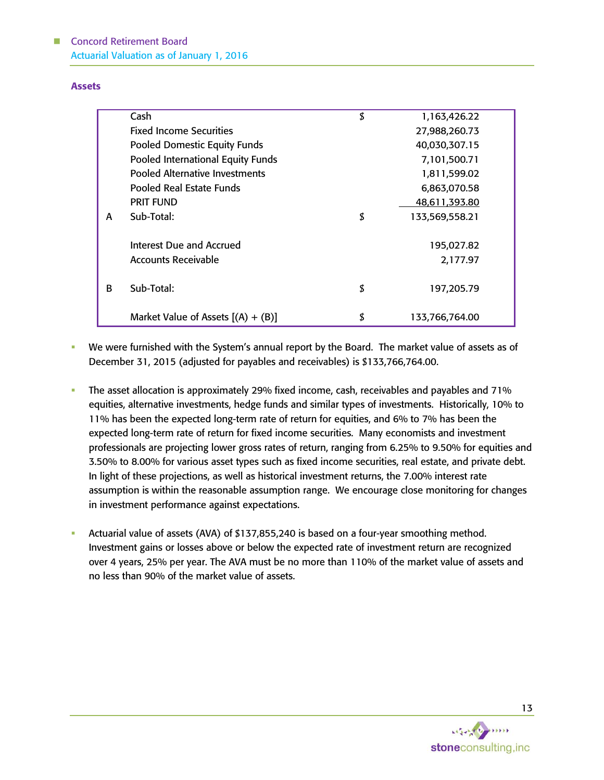#### Assets

|              | Cash                                  | \$<br>1,163,426.22   |
|--------------|---------------------------------------|----------------------|
|              | <b>Fixed Income Securities</b>        | 27,988,260.73        |
|              | <b>Pooled Domestic Equity Funds</b>   | 40,030,307.15        |
|              | Pooled International Equity Funds     | 7,101,500.71         |
|              | <b>Pooled Alternative Investments</b> | 1,811,599.02         |
|              | Pooled Real Estate Funds              | 6,863,070.58         |
|              | <b>PRIT FUND</b>                      | 48,611,393.80        |
| A            | Sub-Total:                            | \$<br>133,569,558.21 |
|              |                                       |                      |
|              | Interest Due and Accrued              | 195,027.82           |
|              | <b>Accounts Receivable</b>            | 2,177.97             |
|              |                                       |                      |
| <sub>R</sub> | Sub-Total:                            | \$<br>197,205.79     |
|              |                                       |                      |
|              | Market Value of Assets $[(A) + (B)]$  | \$<br>133,766,764.00 |

- We were furnished with the System's annual report by the Board. The market value of assets as of December 31, 2015 (adjusted for payables and receivables) is \$133,766,764.00.
- The asset allocation is approximately 29% fixed income, cash, receivables and payables and 71% equities, alternative investments, hedge funds and similar types of investments. Historically, 10% to 11% has been the expected long-term rate of return for equities, and 6% to 7% has been the expected long-term rate of return for fixed income securities. Many economists and investment professionals are projecting lower gross rates of return, ranging from 6.25% to 9.50% for equities and 3.50% to 8.00% for various asset types such as fixed income securities, real estate, and private debt. In light of these projections, as well as historical investment returns, the 7.00% interest rate assumption is within the reasonable assumption range. We encourage close monitoring for changes in investment performance against expectations.
- Actuarial value of assets (AVA) of \$137,855,240 is based on a four-year smoothing method. Investment gains or losses above or below the expected rate of investment return are recognized over 4 years, 25% per year. The AVA must be no more than 110% of the market value of assets and no less than 90% of the market value of assets.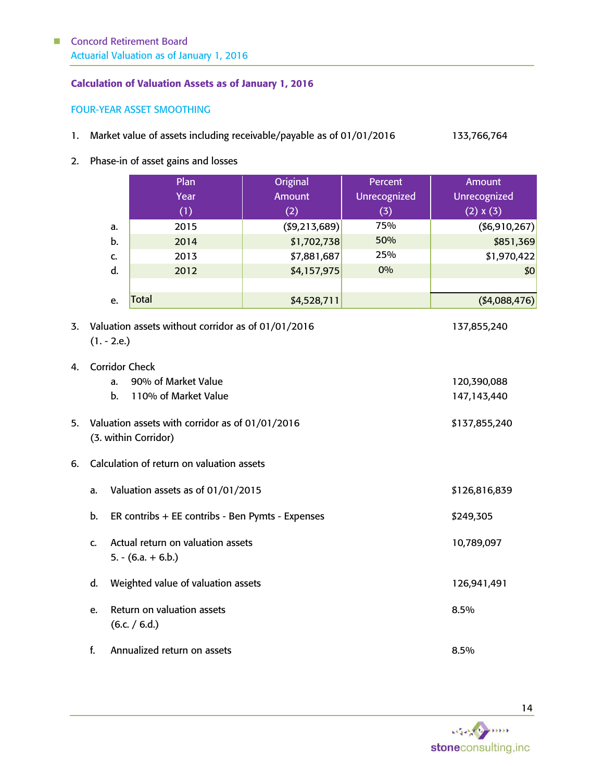#### Calculation of Valuation Assets as of January 1, 2016

#### FOUR-YEAR ASSET SMOOTHING

- 1. Market value of assets including receivable/payable as of 01/01/2016 133,766,764
- 2. Phase-in of asset gains and losses

|    | Plan<br>Year | Original<br><b>Amount</b> | Percent<br>Unrecognized | Amount<br>Unrecognized |
|----|--------------|---------------------------|-------------------------|------------------------|
|    | (1)          | (2)                       | (3)                     | (2) x (3)              |
| a. | 2015         | ( \$9, 213, 689)          | 75%                     | ( \$6, 910, 267)       |
| b. | 2014         | \$1,702,738               | 50%                     | \$851,369              |
| C. | 2013         | \$7,881,687               | 25%                     | \$1,970,422            |
| d. | 2012         | \$4,157,975               | 0%                      | \$0                    |
|    |              |                           |                         |                        |
| e. | <b>Total</b> | \$4,528,711               |                         | ( \$4,088,476)         |

- 3. Valuation assets without corridor as of 01/01/2016 137,855,240  $(1. - 2.e.)$
- 4. Corridor Check a. 90% of Market Value 120,390,088 b. 110% of Market Value 147,143,440 5. Valuation assets with corridor as of 01/01/2016 \$137,855,240 (3. within Corridor) 6. Calculation of return on valuation assets a. Valuation assets as of 01/01/2015 \$126,816,839 b. ER contribs + EE contribs - Ben Pymts - Expenses \$249,305 c. Actual return on valuation assets 10,789,097  $5. - (6.a. + 6.b.)$ 
	- d. Weighted value of valuation assets 126,941,491 e. Return on valuation assets and the set of the set of the set of the set of the set of the set of the set of the set of the set of the set of the set of the set of the set of the set of the set of the set of the set of t  $(6.c. / 6.d.)$ f. Annualized return on assets 8.5%

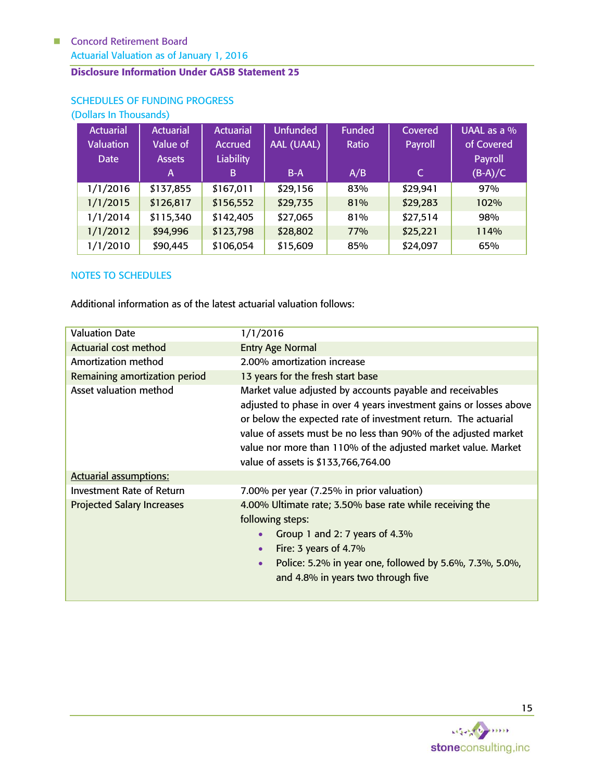# Disclosure Information Under GASB Statement 25

| (Dollars In Thousands) |                  |                  |                 |               |          |             |
|------------------------|------------------|------------------|-----------------|---------------|----------|-------------|
| Actuarial <sup>1</sup> | <b>Actuarial</b> | <b>Actuarial</b> | <b>Unfunded</b> | <b>Funded</b> | Covered  | UAAL as a % |
| <b>Valuation</b>       | Value of         | Accrued          | AAL (UAAL)      | Ratio         | Payroll  | of Covered  |
| <b>Date</b>            | <b>Assets</b>    | <b>Liability</b> |                 |               |          | Payroll     |
|                        | A                | B                | $B-A$           | A/B           | C        | $(B-A)/C$   |
| 1/1/2016               | \$137,855        | \$167,011        | \$29,156        | 83%           | \$29,941 | 97%         |
| 1/1/2015               | \$126,817        | \$156,552        | \$29,735        | 81%           | \$29,283 | 102%        |
| 1/1/2014               | \$115,340        | \$142,405        | \$27,065        | 81%           | \$27,514 | 98%         |
| 1/1/2012               | \$94,996         | \$123,798        | \$28,802        | 77%           | \$25,221 | 114%        |
| 1/1/2010               | \$90,445         | \$106,054        | \$15,609        | 85%           | \$24,097 | 65%         |

# SCHEDULES OF FUNDING PROGRESS

#### NOTES TO SCHEDULES

Additional information as of the latest actuarial valuation follows:

| <b>Valuation Date</b>             | 1/1/2016                                                                                                                                                                                                                                                                                                                                                                     |  |
|-----------------------------------|------------------------------------------------------------------------------------------------------------------------------------------------------------------------------------------------------------------------------------------------------------------------------------------------------------------------------------------------------------------------------|--|
| Actuarial cost method             | <b>Entry Age Normal</b>                                                                                                                                                                                                                                                                                                                                                      |  |
| Amortization method               | 2.00% amortization increase                                                                                                                                                                                                                                                                                                                                                  |  |
| Remaining amortization period     | 13 years for the fresh start base                                                                                                                                                                                                                                                                                                                                            |  |
| Asset valuation method            | Market value adjusted by accounts payable and receivables<br>adjusted to phase in over 4 years investment gains or losses above<br>or below the expected rate of investment return. The actuarial<br>value of assets must be no less than 90% of the adjusted market<br>value nor more than 110% of the adjusted market value. Market<br>value of assets is \$133,766,764.00 |  |
| <b>Actuarial assumptions:</b>     |                                                                                                                                                                                                                                                                                                                                                                              |  |
| Investment Rate of Return         | 7.00% per year (7.25% in prior valuation)                                                                                                                                                                                                                                                                                                                                    |  |
| <b>Projected Salary Increases</b> | 4.00% Ultimate rate; 3.50% base rate while receiving the<br>following steps:<br>Group 1 and 2: 7 years of 4.3%<br>Fire: 3 years of 4.7%<br>$\bullet$<br>Police: 5.2% in year one, followed by 5.6%, 7.3%, 5.0%,<br>$\bullet$<br>and 4.8% in years two through five                                                                                                           |  |

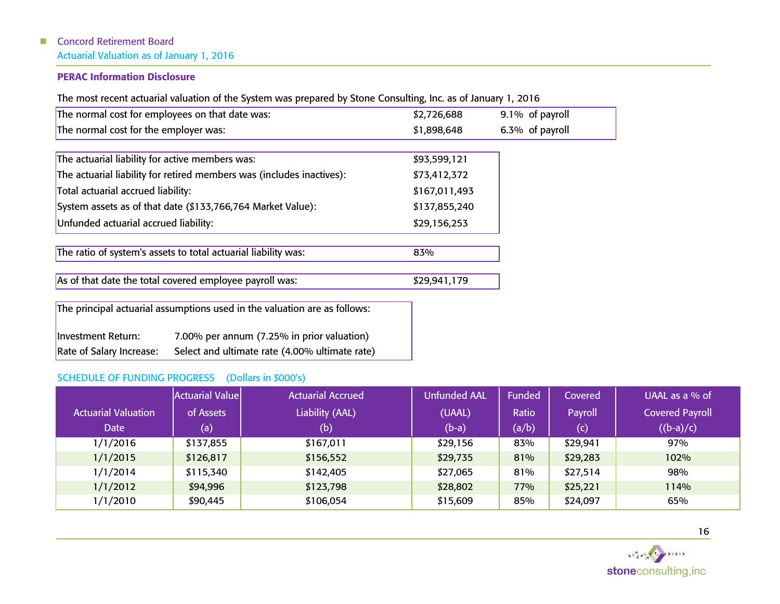# PERAC Information Disclosure

The most recent actuarial valuation of the System was prepared by Stone Consulting, Inc. as of January 1, 2016

| The normal cost for employees on that date was:                            | \$2,726,688   | 9.1% of payroll |
|----------------------------------------------------------------------------|---------------|-----------------|
| The normal cost for the employer was:                                      | \$1,898,648   | 6.3% of payroll |
|                                                                            |               |                 |
| The actuarial liability for active members was:                            | \$93,599,121  |                 |
| The actuarial liability for retired members was (includes inactives):      | \$73,412,372  |                 |
| Total actuarial accrued liability:                                         | \$167,011,493 |                 |
| System assets as of that date (\$133,766,764 Market Value):                | \$137,855,240 |                 |
| Unfunded actuarial accrued liability:                                      | \$29,156,253  |                 |
|                                                                            |               |                 |
| The ratio of system's assets to total actuarial liability was:             | 83%           |                 |
| As of that date the total covered employee payroll was:                    | \$29,941,179  |                 |
| The principal actuarial assumptions used in the valuation are as follows:  |               |                 |
| 7.00% per annum (7.25% in prior valuation)<br>Investment Return:           |               |                 |
| Select and ultimate rate (4.00% ultimate rate)<br>Rate of Salary Increase: |               |                 |

# SCHEDULE OF FUNDING PROGRESS (Dollars in \$000's)

|                            | <b>Actuarial Value</b> | <b>Actuarial Accrued</b> | <b>Unfunded AAL</b> | Funded | Covered  | UAAL as a $%$ of       |
|----------------------------|------------------------|--------------------------|---------------------|--------|----------|------------------------|
| <b>Actuarial Valuation</b> | of Assets              | Liability (AAL)          | (UAAL)              | Ratio  | Payroll  | <b>Covered Payroll</b> |
| <b>Date</b>                | (a)                    | (b)                      | $(b-a)$             | (a/b)  | (c)      | $((b-a)/c)$            |
| 1/1/2016                   | \$137,855              | \$167,011                | \$29,156            | 83%    | \$29,941 | 97%                    |
| 1/1/2015                   | \$126,817              | \$156,552                | \$29,735            | 81%    | \$29,283 | 102%                   |
| 1/1/2014                   | \$115,340              | \$142,405                | \$27,065            | 81%    | \$27,514 | 98%                    |
| 1/1/2012                   | \$94,996               | \$123,798                | \$28,802            | 77%    | \$25,221 | 114%                   |
| 1/1/2010                   | \$90,445               | \$106,054                | \$15,609            | 85%    | \$24,097 | 65%                    |

16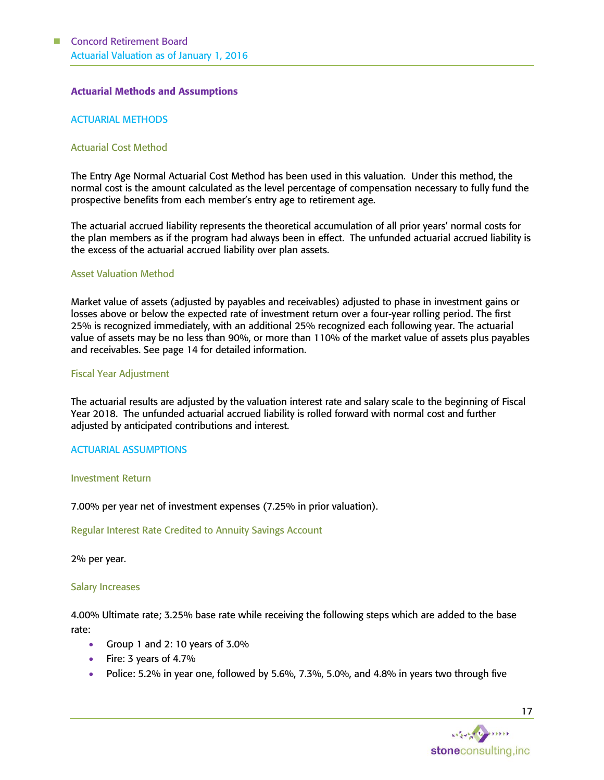#### Actuarial Methods and Assumptions

#### ACTUARIAL METHODS

#### Actuarial Cost Method

The Entry Age Normal Actuarial Cost Method has been used in this valuation. Under this method, the normal cost is the amount calculated as the level percentage of compensation necessary to fully fund the prospective benefits from each member's entry age to retirement age.

The actuarial accrued liability represents the theoretical accumulation of all prior years' normal costs for the plan members as if the program had always been in effect. The unfunded actuarial accrued liability is the excess of the actuarial accrued liability over plan assets.

#### Asset Valuation Method

Market value of assets (adjusted by payables and receivables) adjusted to phase in investment gains or losses above or below the expected rate of investment return over a four-year rolling period. The first 25% is recognized immediately, with an additional 25% recognized each following year. The actuarial value of assets may be no less than 90%, or more than 110% of the market value of assets plus payables and receivables. See page 14 for detailed information.

#### Fiscal Year Adjustment

The actuarial results are adjusted by the valuation interest rate and salary scale to the beginning of Fiscal Year 2018. The unfunded actuarial accrued liability is rolled forward with normal cost and further adjusted by anticipated contributions and interest.

#### ACTUARIAL ASSUMPTIONS

#### Investment Return

7.00% per year net of investment expenses (7.25% in prior valuation).

#### Regular Interest Rate Credited to Annuity Savings Account

2% per year.

#### Salary Increases

4.00% Ultimate rate; 3.25% base rate while receiving the following steps which are added to the base rate:

- Group 1 and 2: 10 years of 3.0%
- $\bullet$  Fire: 3 years of 4.7%
- Police: 5.2% in year one, followed by 5.6%, 7.3%, 5.0%, and 4.8% in years two through five

17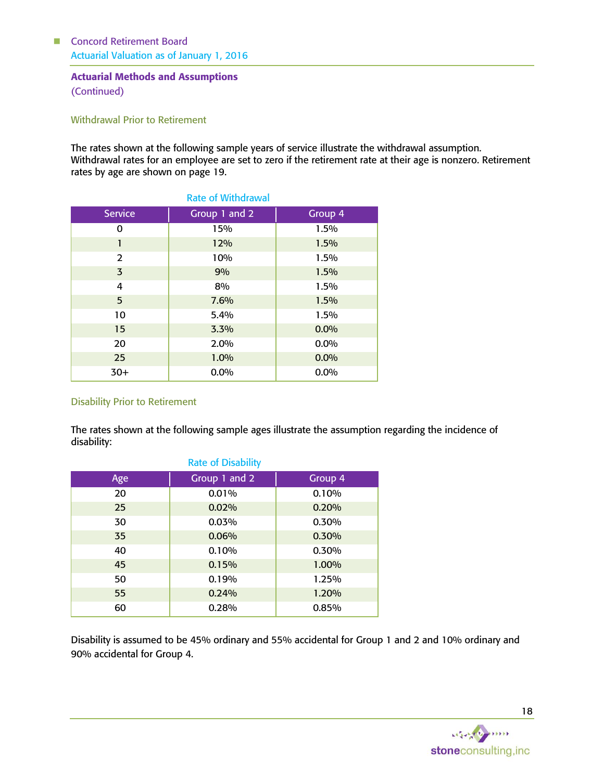#### Actuarial Methods and Assumptions (Continued)

Withdrawal Prior to Retirement

The rates shown at the following sample years of service illustrate the withdrawal assumption. Withdrawal rates for an employee are set to zero if the retirement rate at their age is nonzero. Retirement rates by age are shown on page 19.

| <b>Service</b> | Group 1 and 2 | Group 4 |
|----------------|---------------|---------|
| 0              | 15%           | 1.5%    |
| 1              | 12%           | 1.5%    |
| 2              | 10%           | 1.5%    |
| $\overline{3}$ | 9%            | 1.5%    |
| 4              | 8%            | 1.5%    |
| 5              | 7.6%          | 1.5%    |
| 10             | 5.4%          | 1.5%    |
| 15             | 3.3%          | 0.0%    |
| 20             | 2.0%          | $0.0\%$ |
| 25             | 1.0%          | 0.0%    |
| $30+$          | $0.0\%$       | 0.0%    |

## Disability Prior to Retirement

The rates shown at the following sample ages illustrate the assumption regarding the incidence of disability:

| <b>Rate of Disability</b> |               |         |  |  |  |
|---------------------------|---------------|---------|--|--|--|
| Age                       | Group 1 and 2 | Group 4 |  |  |  |
| 20                        | 0.01%         | 0.10%   |  |  |  |
| 25                        | 0.02%         | 0.20%   |  |  |  |
| 30                        | 0.03%         | 0.30%   |  |  |  |
| 35                        | 0.06%         | 0.30%   |  |  |  |
| 40                        | 0.10%         | 0.30%   |  |  |  |
| 45                        | 0.15%         | 1.00%   |  |  |  |
| 50                        | 0.19%         | 1.25%   |  |  |  |
| 55                        | 0.24%         | 1.20%   |  |  |  |
| 60                        | 0.28%         | 0.85%   |  |  |  |

Disability is assumed to be 45% ordinary and 55% accidental for Group 1 and 2 and 10% ordinary and 90% accidental for Group 4.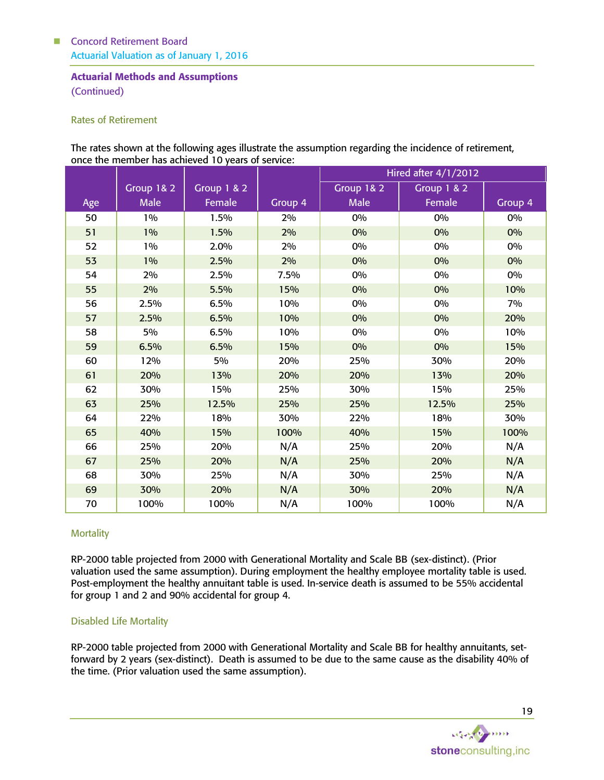# Actuarial Methods and Assumptions

(Continued)

#### Rates of Retirement

The rates shown at the following ages illustrate the assumption regarding the incidence of retirement, once the member has achieved 10 years of service:

|     |                       |                        |         | <b>Hired after 4/1/2012</b> |                        |         |  |
|-----|-----------------------|------------------------|---------|-----------------------------|------------------------|---------|--|
|     | <b>Group 1&amp; 2</b> | <b>Group 1 &amp; 2</b> |         | Group 1& 2                  | <b>Group 1 &amp; 2</b> |         |  |
| Age | <b>Male</b>           | Female                 | Group 4 | <b>Male</b>                 | Female                 | Group 4 |  |
| 50  | $1\%$                 | 1.5%                   | 2%      | 0%                          | 0%                     | 0%      |  |
| 51  | $1\%$                 | 1.5%                   | 2%      | 0%                          | 0%                     | 0%      |  |
| 52  | 1%                    | 2.0%                   | 2%      | 0%                          | 0%                     | 0%      |  |
| 53  | 1%                    | 2.5%                   | 2%      | 0%                          | 0%                     | 0%      |  |
| 54  | 2%                    | 2.5%                   | 7.5%    | 0%                          | 0%                     | 0%      |  |
| 55  | 2%                    | 5.5%                   | 15%     | 0%                          | 0%                     | 10%     |  |
| 56  | 2.5%                  | 6.5%                   | 10%     | 0%                          | 0%                     | 7%      |  |
| 57  | 2.5%                  | 6.5%                   | 10%     | 0%                          | 0%                     | 20%     |  |
| 58  | 5%                    | 6.5%                   | 10%     | 0%                          | 0%                     | 10%     |  |
| 59  | 6.5%                  | 6.5%                   | 15%     | 0%                          | 0%                     | 15%     |  |
| 60  | 12%                   | 5%                     | 20%     | 25%                         | 30%                    | 20%     |  |
| 61  | 20%                   | 13%                    | 20%     | 20%                         | 13%                    | 20%     |  |
| 62  | 30%                   | 15%                    | 25%     | 30%                         | 15%                    | 25%     |  |
| 63  | 25%                   | 12.5%                  | 25%     | 25%                         | 12.5%                  | 25%     |  |
| 64  | 22%                   | 18%                    | 30%     | 22%                         | 18%                    | 30%     |  |
| 65  | 40%                   | 15%                    | 100%    | 40%                         | 15%                    | 100%    |  |
| 66  | 25%                   | 20%                    | N/A     | 25%                         | 20%                    | N/A     |  |
| 67  | 25%                   | 20%                    | N/A     | 25%                         | 20%                    | N/A     |  |
| 68  | 30%                   | 25%                    | N/A     | 30%                         | 25%                    | N/A     |  |
| 69  | 30%                   | 20%                    | N/A     | 30%                         | 20%                    | N/A     |  |
| 70  | 100%                  | 100%                   | N/A     | 100%                        | 100%                   | N/A     |  |

#### **Mortality**

RP-2000 table projected from 2000 with Generational Mortality and Scale BB (sex-distinct). (Prior valuation used the same assumption). During employment the healthy employee mortality table is used. Post-employment the healthy annuitant table is used. In-service death is assumed to be 55% accidental for group 1 and 2 and 90% accidental for group 4.

#### Disabled Life Mortality

RP-2000 table projected from 2000 with Generational Mortality and Scale BB for healthy annuitants, setforward by 2 years (sex-distinct). Death is assumed to be due to the same cause as the disability 40% of the time. (Prior valuation used the same assumption).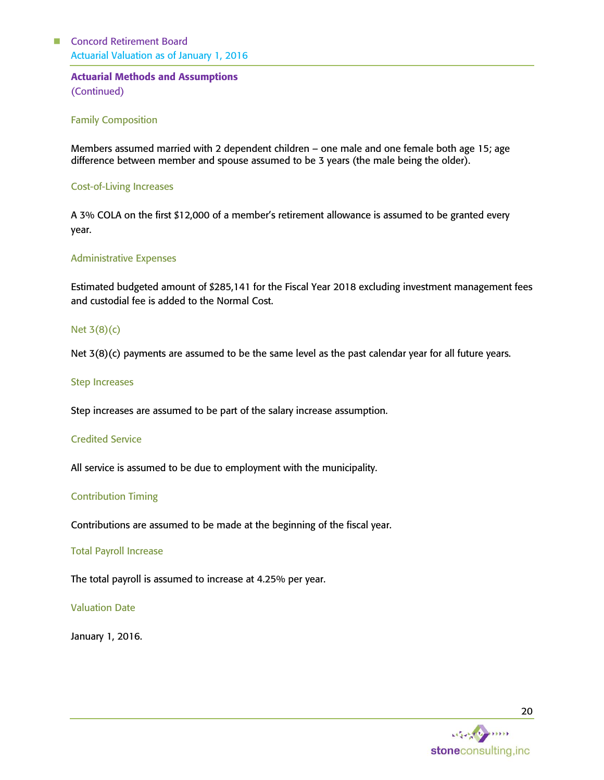# Actuarial Methods and Assumptions (Continued)

#### Family Composition

Members assumed married with 2 dependent children – one male and one female both age 15; age difference between member and spouse assumed to be 3 years (the male being the older).

#### Cost-of-Living Increases

A 3% COLA on the first \$12,000 of a member's retirement allowance is assumed to be granted every year.

#### Administrative Expenses

Estimated budgeted amount of \$285,141 for the Fiscal Year 2018 excluding investment management fees and custodial fee is added to the Normal Cost.

#### Net 3(8)(c)

Net 3(8)(c) payments are assumed to be the same level as the past calendar year for all future years.

#### Step Increases

Step increases are assumed to be part of the salary increase assumption.

#### Credited Service

All service is assumed to be due to employment with the municipality.

#### Contribution Timing

Contributions are assumed to be made at the beginning of the fiscal year.

#### Total Payroll Increase

The total payroll is assumed to increase at 4.25% per year.

#### Valuation Date

January 1, 2016.

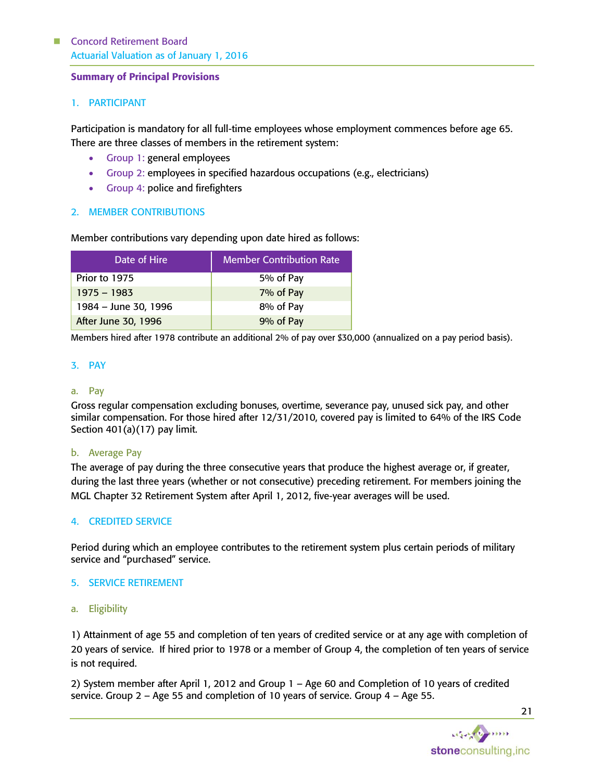#### Summary of Principal Provisions

#### 1. PARTICIPANT

Participation is mandatory for all full-time employees whose employment commences before age 65. There are three classes of members in the retirement system:

- Group 1: general employees
- Group 2: employees in specified hazardous occupations (e.g., electricians)
- Group 4: police and firefighters

#### 2. MEMBER CONTRIBUTIONS

Member contributions vary depending upon date hired as follows:

| Date of Hire         | <b>Member Contribution Rate</b> |
|----------------------|---------------------------------|
| Prior to 1975        | 5% of Pay                       |
| $1975 - 1983$        | 7% of Pay                       |
| 1984 – June 30, 1996 | 8% of Pay                       |
| After June 30, 1996  | 9% of Pay                       |

Members hired after 1978 contribute an additional 2% of pay over \$30,000 (annualized on a pay period basis).

#### 3. PAY

#### a. Pay

Gross regular compensation excluding bonuses, overtime, severance pay, unused sick pay, and other similar compensation. For those hired after 12/31/2010, covered pay is limited to 64% of the IRS Code Section 401(a)(17) pay limit.

#### b. Average Pay

The average of pay during the three consecutive years that produce the highest average or, if greater, during the last three years (whether or not consecutive) preceding retirement. For members joining the MGL Chapter 32 Retirement System after April 1, 2012, five-year averages will be used.

#### 4. CREDITED SERVICE

Period during which an employee contributes to the retirement system plus certain periods of military service and "purchased" service.

#### 5. SERVICE RETIREMENT

a. Eligibility

1) Attainment of age 55 and completion of ten years of credited service or at any age with completion of 20 years of service. If hired prior to 1978 or a member of Group 4, the completion of ten years of service is not required.

2) System member after April 1, 2012 and Group 1 – Age 60 and Completion of 10 years of credited service. Group 2 – Age 55 and completion of 10 years of service. Group 4 – Age 55.

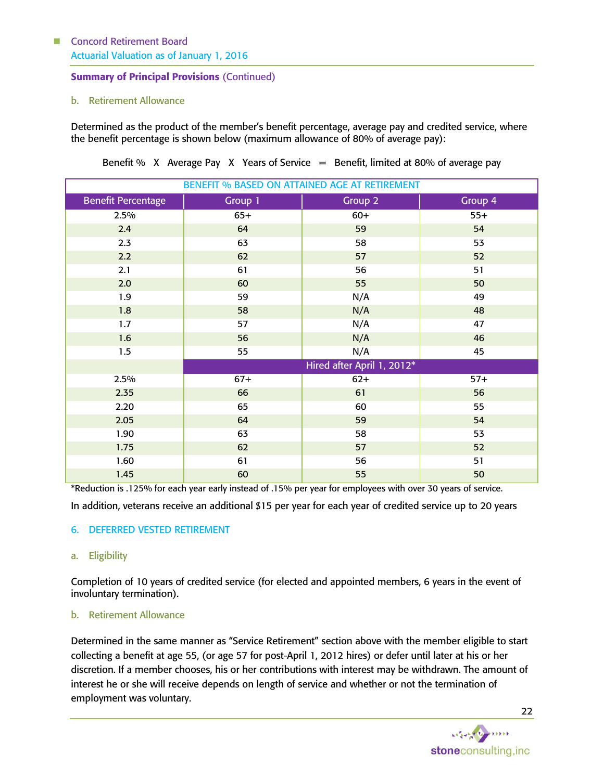# Summary of Principal Provisions (Continued)

#### b. Retirement Allowance

Determined as the product of the member's benefit percentage, average pay and credited service, where the benefit percentage is shown below (maximum allowance of 80% of average pay):

| <b>BENEFIT % BASED ON ATTAINED AGE AT RETIREMENT</b> |                            |         |         |  |  |  |
|------------------------------------------------------|----------------------------|---------|---------|--|--|--|
| <b>Benefit Percentage</b>                            | Group 1                    | Group 2 | Group 4 |  |  |  |
| 2.5%                                                 | $65+$                      | $60+$   | $55+$   |  |  |  |
| 2.4                                                  | 64                         | 59      | 54      |  |  |  |
| 2.3                                                  | 63                         | 58      | 53      |  |  |  |
| 2.2                                                  | 62                         | 57      | 52      |  |  |  |
| 2.1                                                  | 61                         | 56      | 51      |  |  |  |
| 2.0                                                  | 60                         | 55      | 50      |  |  |  |
| 1.9                                                  | 59                         | N/A     | 49      |  |  |  |
| 1.8                                                  | 58                         | N/A     | 48      |  |  |  |
| 1.7                                                  | 57                         | N/A     | 47      |  |  |  |
| 1.6                                                  | 56                         | N/A     | 46      |  |  |  |
| 1.5                                                  | 55                         | N/A     | 45      |  |  |  |
|                                                      | Hired after April 1, 2012* |         |         |  |  |  |
| 2.5%                                                 | $67+$                      | $62+$   | $57+$   |  |  |  |
| 2.35                                                 | 66                         | 61      | 56      |  |  |  |
| 2.20                                                 | 65                         | 60      | 55      |  |  |  |
| 2.05                                                 | 64                         | 59      | 54      |  |  |  |
| 1.90                                                 | 63                         | 58      | 53      |  |  |  |
| 1.75                                                 | 62                         | 57      | 52      |  |  |  |
| 1.60                                                 | 61                         | 56      | 51      |  |  |  |
| 1.45                                                 | 60                         | 55      | 50      |  |  |  |

Benefit % X Average Pay X Years of Service  $=$  Benefit, limited at 80% of average pay

\*Reduction is .125% for each year early instead of .15% per year for employees with over 30 years of service.

In addition, veterans receive an additional \$15 per year for each year of credited service up to 20 years

#### 6. DEFERRED VESTED RETIREMENT

#### a. Eligibility

Completion of 10 years of credited service (for elected and appointed members, 6 years in the event of involuntary termination).

#### b. Retirement Allowance

Determined in the same manner as "Service Retirement" section above with the member eligible to start collecting a benefit at age 55, (or age 57 for post-April 1, 2012 hires) or defer until later at his or her discretion. If a member chooses, his or her contributions with interest may be withdrawn. The amount of interest he or she will receive depends on length of service and whether or not the termination of employment was voluntary.

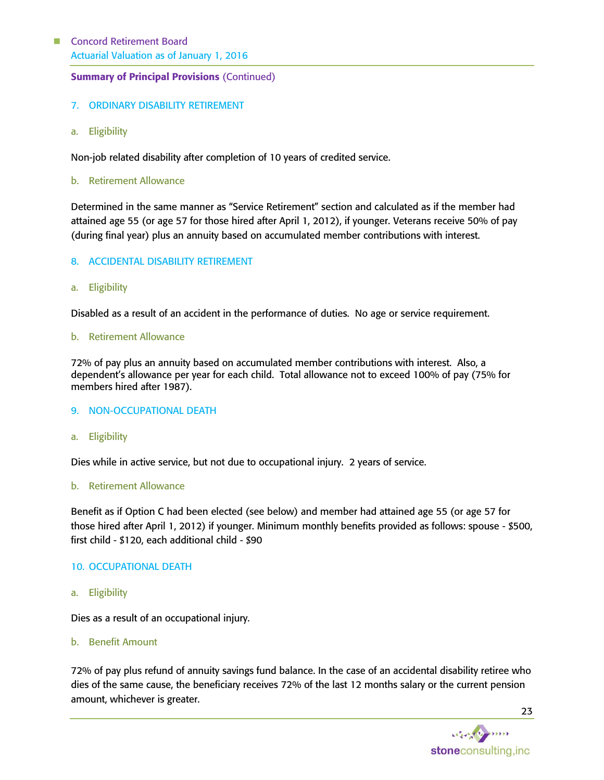## Summary of Principal Provisions (Continued)

## 7. ORDINARY DISABILITY RETIREMENT

a. Eligibility

Non-job related disability after completion of 10 years of credited service.

b. Retirement Allowance

Determined in the same manner as "Service Retirement" section and calculated as if the member had attained age 55 (or age 57 for those hired after April 1, 2012), if younger. Veterans receive 50% of pay (during final year) plus an annuity based on accumulated member contributions with interest.

#### 8. ACCIDENTAL DISABILITY RETIREMENT

a. Eligibility

Disabled as a result of an accident in the performance of duties. No age or service requirement.

b. Retirement Allowance

72% of pay plus an annuity based on accumulated member contributions with interest. Also, a dependent's allowance per year for each child. Total allowance not to exceed 100% of pay (75% for members hired after 1987).

- 9. NON-OCCUPATIONAL DEATH
- a. Eligibility

Dies while in active service, but not due to occupational injury. 2 years of service.

b. Retirement Allowance

Benefit as if Option C had been elected (see below) and member had attained age 55 (or age 57 for those hired after April 1, 2012) if younger. Minimum monthly benefits provided as follows: spouse - \$500, first child - \$120, each additional child - \$90

#### 10. OCCUPATIONAL DEATH

a. Eligibility

Dies as a result of an occupational injury.

b. Benefit Amount

72% of pay plus refund of annuity savings fund balance. In the case of an accidental disability retiree who dies of the same cause, the beneficiary receives 72% of the last 12 months salary or the current pension amount, whichever is greater.

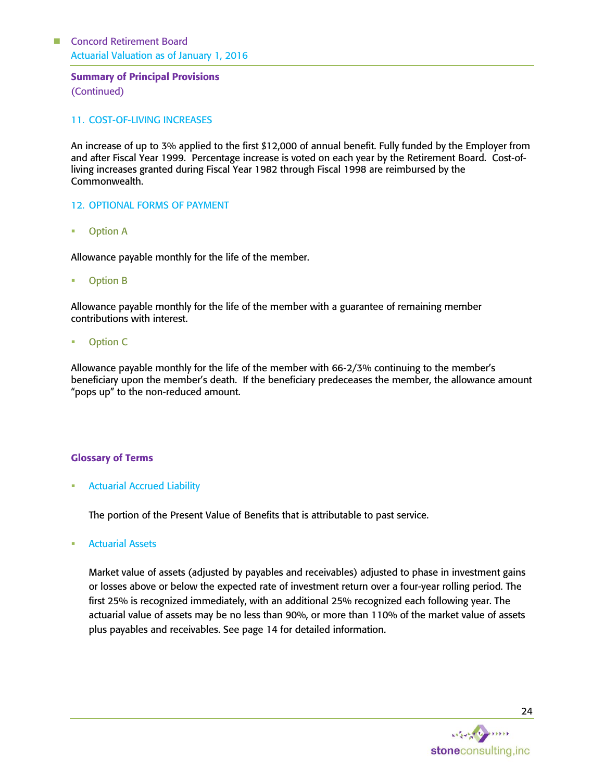#### Summary of Principal Provisions (Continued)

#### 11. COST-OF-LIVING INCREASES

An increase of up to 3% applied to the first \$12,000 of annual benefit. Fully funded by the Employer from and after Fiscal Year 1999. Percentage increase is voted on each year by the Retirement Board. Cost-ofliving increases granted during Fiscal Year 1982 through Fiscal 1998 are reimbursed by the Commonwealth.

#### 12. OPTIONAL FORMS OF PAYMENT

Option A

Allowance payable monthly for the life of the member.

Option B

Allowance payable monthly for the life of the member with a guarantee of remaining member contributions with interest.

Option C

Allowance payable monthly for the life of the member with 66-2/3% continuing to the member's beneficiary upon the member's death. If the beneficiary predeceases the member, the allowance amount "pops up" to the non-reduced amount.

#### Glossary of Terms

Actuarial Accrued Liability

The portion of the Present Value of Benefits that is attributable to past service.

Actuarial Assets

Market value of assets (adjusted by payables and receivables) adjusted to phase in investment gains or losses above or below the expected rate of investment return over a four-year rolling period. The first 25% is recognized immediately, with an additional 25% recognized each following year. The actuarial value of assets may be no less than 90%, or more than 110% of the market value of assets plus payables and receivables. See page 14 for detailed information.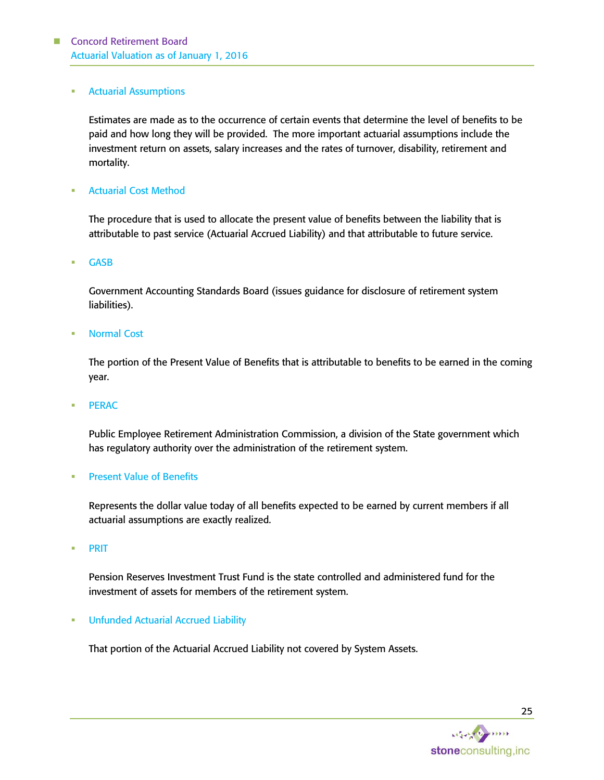#### Actuarial Assumptions

Estimates are made as to the occurrence of certain events that determine the level of benefits to be paid and how long they will be provided. The more important actuarial assumptions include the investment return on assets, salary increases and the rates of turnover, disability, retirement and mortality.

Actuarial Cost Method

The procedure that is used to allocate the present value of benefits between the liability that is attributable to past service (Actuarial Accrued Liability) and that attributable to future service.

GASB

Government Accounting Standards Board (issues guidance for disclosure of retirement system liabilities).

Normal Cost

The portion of the Present Value of Benefits that is attributable to benefits to be earned in the coming year.

PERAC

Public Employee Retirement Administration Commission, a division of the State government which has regulatory authority over the administration of the retirement system.

#### Present Value of Benefits

Represents the dollar value today of all benefits expected to be earned by current members if all actuarial assumptions are exactly realized.

**•** PRIT

Pension Reserves Investment Trust Fund is the state controlled and administered fund for the investment of assets for members of the retirement system.

**• Unfunded Actuarial Accrued Liability** 

That portion of the Actuarial Accrued Liability not covered by System Assets.

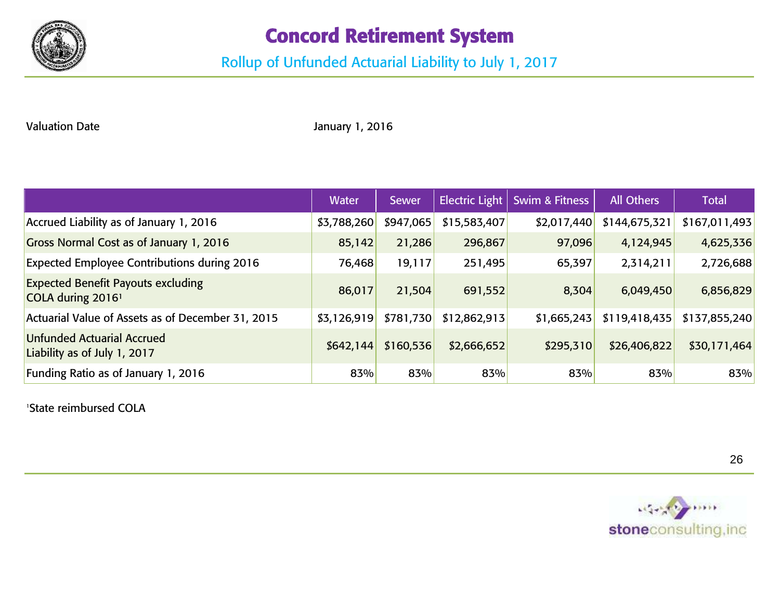

# Concord Retirement System

# Rollup of Unfunded Actuarial Liability to July 1, 2017

Valuation Date **Valuation Date** January 1, 2016

|                                                                            | <b>Water</b> | <b>Sewer</b> | <b>Electric Light</b> | <b>Swim &amp; Fitness</b> | All Others    | <b>Total</b>  |
|----------------------------------------------------------------------------|--------------|--------------|-----------------------|---------------------------|---------------|---------------|
| Accrued Liability as of January 1, 2016                                    | \$3,788,260  | \$947,065    | \$15,583,407          | \$2,017,440               | \$144,675,321 | \$167,011,493 |
| Gross Normal Cost as of January 1, 2016                                    | 85,142       | 21,286       | 296,867               | 97,096                    | 4,124,945     | 4,625,336     |
| <b>Expected Employee Contributions during 2016</b>                         | 76,468       | 19,117       | 251,495               | 65,397                    | 2,314,211     | 2,726,688     |
| <b>Expected Benefit Payouts excluding</b><br>COLA during 2016 <sup>1</sup> | 86,017       | 21,504       | 691,552               | 8,304                     | 6,049,450     | 6,856,829     |
| Actuarial Value of Assets as of December 31, 2015                          | \$3,126,919  | \$781,730    | \$12,862,913          | \$1,665,243               | \$119,418,435 | \$137,855,240 |
| <b>Unfunded Actuarial Accrued</b><br>Liability as of July 1, 2017          | \$642,144    | \$160,536    | \$2,666,652           | \$295,310                 | \$26,406,822  | \$30,171,464  |
| Funding Ratio as of January 1, 2016                                        | 83%          | 83%          | 83%                   | 83%                       | 83%           | 83%           |

<sup>1</sup>State reimbursed COLA